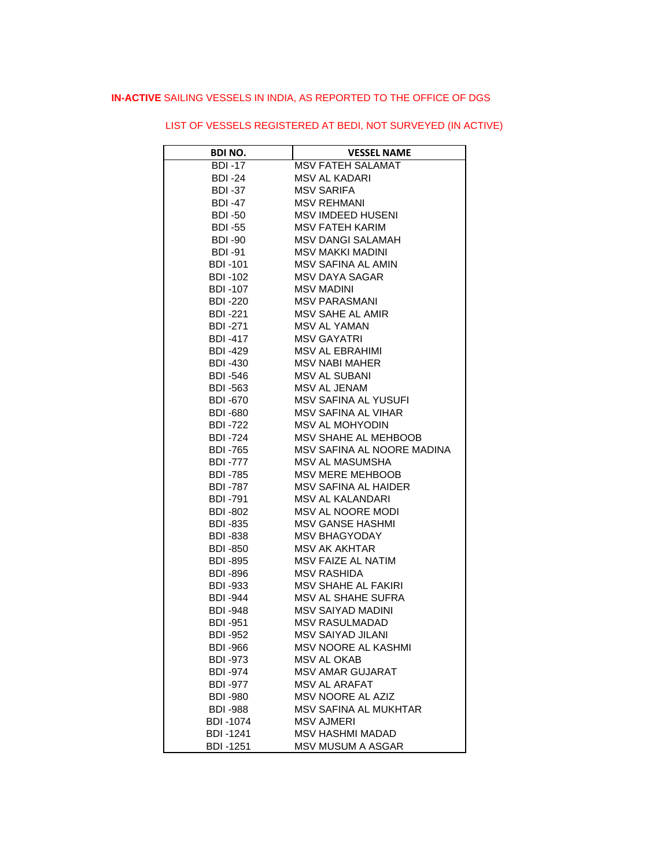# **IN-ACTIVE** SAILING VESSELS IN INDIA, AS REPORTED TO THE OFFICE OF DGS

| <b>BDI NO.</b>  | <b>VESSEL NAME</b>         |
|-----------------|----------------------------|
| $BDI -17$       | <b>MSV FATEH SALAMAT</b>   |
| BDI -24         | MSV AL KADARI              |
| <b>BDI -37</b>  | <b>MSV SARIFA</b>          |
| <b>BDI -47</b>  | <b>MSV REHMANI</b>         |
| <b>BDI -50</b>  | <b>MSV IMDEED HUSENI</b>   |
| <b>BDI -55</b>  | <b>MSV FATEH KARIM</b>     |
| <b>BDI -90</b>  | <b>MSV DANGI SALAMAH</b>   |
| <b>BDI -91</b>  | <b>MSV MAKKI MADINI</b>    |
| <b>BDI -101</b> | <b>MSV SAFINA AL AMIN</b>  |
| BDI -102        | <b>MSV DAYA SAGAR</b>      |
| <b>BDI -107</b> | MSV MADINI                 |
| <b>BDI -220</b> | MSV PARASMANI              |
| <b>BDI -221</b> | MSV SAHE AL AMIR           |
| <b>BDI -271</b> | <b>MSV AL YAMAN</b>        |
| <b>BDI -417</b> | <b>MSV GAYATRI</b>         |
| <b>BDI -429</b> | <b>MSV AL EBRAHIMI</b>     |
| <b>BDI -430</b> | <b>MSV NABI MAHER</b>      |
| BDI -546        | <b>MSV AL SUBANI</b>       |
| <b>BDI -563</b> | MSV AL JENAM               |
| <b>BDI -670</b> | MSV SAFINA AL YUSUFI       |
| <b>BDI -680</b> | <b>MSV SAFINA AL VIHAR</b> |
| <b>BDI -722</b> | <b>MSV AL MOHYODIN</b>     |
| <b>BDI -724</b> | MSV SHAHE AL MEHBOOB       |
| BDI -765        | MSV SAFINA AL NOORE MADINA |
| <b>BDI -777</b> | MSV AL MASUMSHA            |
| <b>BDI -785</b> | MSV MERE MEHBOOB           |
| <b>BDI -787</b> | MSV SAFINA AL HAIDER       |
| BDI -791        | MSV AL KALANDARI           |
| <b>BDI -802</b> | <b>MSV AL NOORE MODI</b>   |
| <b>BDI -835</b> | <b>MSV GANSE HASHMI</b>    |
| <b>BDI -838</b> | <b>MSV BHAGYODAY</b>       |
| BDI -850        | <b>MSV AK AKHTAR</b>       |
| BDI -895        | MSV FAIZE AL NATIM         |
| BDI -896        | MSV RASHIDA                |
| BDI -933        | <b>MSV SHAHE AL FAKIRI</b> |
| <b>BDI -944</b> | <b>MSV AL SHAHE SUFRA</b>  |
| <b>BDI -948</b> | <b>MSV SAIYAD MADINI</b>   |
| <b>BDI-951</b>  | <b>MSV RASULMADAD</b>      |
| <b>BDI -952</b> | MSV SAIYAD JILANI          |
| BDI -966        | <b>MSV NOORE AL KASHMI</b> |
| <b>BDI -973</b> | MSV AL OKAB                |
| <b>BDI -974</b> | <b>MSV AMAR GUJARAT</b>    |
| <b>BDI -977</b> | <b>MSV AL ARAFAT</b>       |
| <b>BDI -980</b> | <b>MSV NOORE AL AZIZ</b>   |
| <b>BDI -988</b> | MSV SAFINA AL MUKHTAR      |
| <b>BDI-1074</b> | <b>MSV AJMERI</b>          |
| <b>BDI-1241</b> | <b>MSV HASHMI MADAD</b>    |
| <b>BDI-1251</b> | <b>MSV MUSUM A ASGAR</b>   |

# LIST OF VESSELS REGISTERED AT BEDI, NOT SURVEYED (IN ACTIVE)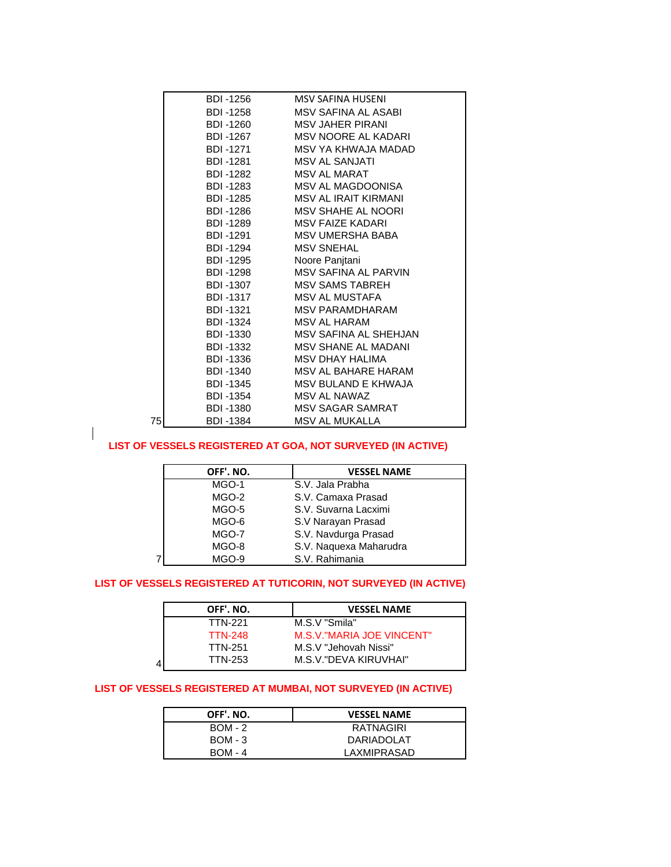|    | BDI -1256 | MSV SAFINA HUSENI             |
|----|-----------|-------------------------------|
|    |           | BDI-1258 MSV SAFINA AL ASABI  |
|    |           | BDI-1260 MSV JAHER PIRANI     |
|    |           | BDI-1267 MSV NOORE AL KADARI  |
|    |           | BDI-1271 MSV YA KHWAJA MADAD  |
|    |           | BDI-1281 MSV AL SANJATI       |
|    |           | BDI-1282 MSV AL MARAT         |
|    |           | BDI-1283 MSV AL MAGDOONISA    |
|    |           | BDI-1285 MSV AL IRAIT KIRMANI |
|    |           | BDI-1286 MSV SHAHE AL NOORI   |
|    |           | BDI-1289 MSV FAIZE KADARI     |
|    |           | BDI-1291 MSV UMERSHA BABA     |
|    |           | BDI-1294 MSV SNEHAL           |
|    |           | BDI-1295 Noore Panjtani       |
|    |           | BDI-1298 MSV SAFINA AL PARVIN |
|    |           | BDI-1307 MSV SAMS TABREH      |
|    |           | BDI-1317 MSV AL MUSTAFA       |
|    |           | BDI-1321 MSV PARAMDHARAM      |
|    |           | BDI-1324 MSV AL HARAM         |
|    | BDI -1330 | MSV SAFINA AL SHEHJAN         |
|    |           | BDI-1332 MSV SHANE AL MADANI  |
|    |           | BDI-1336 MSV DHAY HALIMA      |
|    |           | BDI-1340 MSV AL BAHARE HARAM  |
|    |           | BDI-1345 MSV BULAND E KHWAJA  |
|    |           | BDI-1354 MSV AL NAWAZ         |
|    |           | BDI-1380 MSV SAGAR SAMRAT     |
| 75 | BDI -1384 | MSV AL MUKALLA                |
|    |           |                               |

### **LIST OF VESSELS REGISTERED AT GOA, NOT SURVEYED (IN ACTIVE)**

 $\mathsf{l}$ 

|   | OFF'. NO. | <b>VESSEL NAME</b>     |
|---|-----------|------------------------|
|   | MGO-1     | S.V. Jala Prabha       |
|   | MGO-2     | S.V. Camaxa Prasad     |
|   | MGO-5     | S.V. Suvarna Lacximi   |
|   | MGO-6     | S.V Narayan Prasad     |
|   | MGO-7     | S.V. Navdurga Prasad   |
|   | MGO-8     | S.V. Naquexa Maharudra |
| 7 | MGO-9     | S.V. Rahimania         |

#### **LIST OF VESSELS REGISTERED AT TUTICORIN, NOT SURVEYED (IN ACTIVE)**

| OFF'. NO.      | <b>VESSEL NAME</b>        |
|----------------|---------------------------|
| <b>TTN-221</b> | M.S.V "Smila"             |
| <b>TTN-248</b> | M.S.V."MARIA JOE VINCENT" |
| <b>TTN-251</b> | M.S.V "Jehovah Nissi"     |
| TTN-253<br>4   | M.S.V."DEVA KIRUVHAI"     |

# **LIST OF VESSELS REGISTERED AT MUMBAI, NOT SURVEYED (IN ACTIVE)**

| OFF'. NO.      | <b>VESSEL NAME</b> |
|----------------|--------------------|
| $BOM - 2$      | <b>RATNAGIRI</b>   |
| <b>BOM - 3</b> | DARIADOLAT         |
| <b>BOM - 4</b> | LAXMIPRASAD        |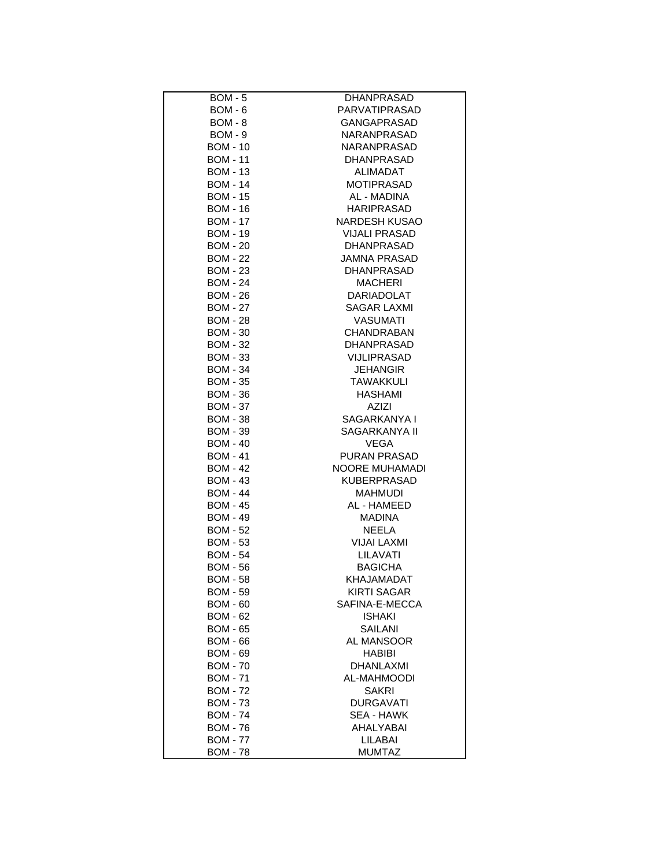| <b>BOM - 5</b>  | <b>DHANPRASAD</b>    |
|-----------------|----------------------|
|                 | PARVATIPRASAD        |
| <b>BOM - 6</b>  |                      |
| <b>BOM - 8</b>  | <b>GANGAPRASAD</b>   |
| BOM - 9         | NARANPRASAD          |
| <b>BOM - 10</b> | <b>NARANPRASAD</b>   |
| <b>BOM - 11</b> | <b>DHANPRASAD</b>    |
| <b>BOM - 13</b> | ALIMADAT             |
| <b>BOM - 14</b> | <b>MOTIPRASAD</b>    |
| <b>BOM - 15</b> | AL - MADINA          |
| <b>BOM - 16</b> | <b>HARIPRASAD</b>    |
| <b>BOM - 17</b> | NARDESH KUSAO        |
| <b>BOM - 19</b> | <b>VIJALI PRASAD</b> |
| <b>BOM - 20</b> | DHANPRASAD           |
| <b>BOM - 22</b> | JAMNA PRASAD         |
| <b>BOM - 23</b> | DHANPRASAD           |
| <b>BOM - 24</b> | <b>MACHERI</b>       |
| <b>BOM - 26</b> | DARIADOLAT           |
| <b>BOM - 27</b> | SAGAR LAXMI          |
| <b>BOM - 28</b> | <b>VASUMATI</b>      |
| <b>BOM - 30</b> | <b>CHANDRABAN</b>    |
| <b>BOM - 32</b> | <b>DHANPRASAD</b>    |
| <b>BOM - 33</b> |                      |
|                 | VIJLIPRASAD          |
| <b>BOM - 34</b> | <b>JEHANGIR</b>      |
| <b>BOM - 35</b> | <b>TAWAKKULI</b>     |
| <b>BOM - 36</b> | <b>HASHAMI</b>       |
| <b>BOM - 37</b> | AZIZI                |
| <b>BOM - 38</b> | SAGARKANYA I         |
| <b>BOM - 39</b> | SAGARKANYA II        |
| <b>BOM - 40</b> | VEGA                 |
| <b>BOM - 41</b> | <b>PURAN PRASAD</b>  |
| <b>BOM - 42</b> | NOORE MUHAMADI       |
| <b>BOM - 43</b> | <b>KUBERPRASAD</b>   |
| <b>BOM - 44</b> | <b>MAHMUDI</b>       |
| <b>BOM - 45</b> | AL - HAMEED          |
| <b>BOM - 49</b> | <b>MADINA</b>        |
| <b>BOM - 52</b> | NEELA                |
| <b>BOM - 53</b> | VIJAI LAXMI          |
| <b>BOM - 54</b> | LILAVATI             |
| <b>BOM - 56</b> | <b>BAGICHA</b>       |
| <b>BOM - 58</b> | KHAJAMADAT           |
| <b>BOM - 59</b> | <b>KIRTI SAGAR</b>   |
| <b>BOM - 60</b> | SAFINA-E-MECCA       |
| <b>BOM - 62</b> | <b>ISHAKI</b>        |
| <b>BOM - 65</b> | SAILANI              |
|                 |                      |
| <b>BOM - 66</b> | AL MANSOOR           |
| <b>BOM - 69</b> | HABIBI               |
| <b>BOM - 70</b> | DHANLAXMI            |
| <b>BOM - 71</b> | AL-MAHMOODI          |
| <b>BOM - 72</b> | <b>SAKRI</b>         |
| <b>BOM - 73</b> | DURGAVATI            |
| <b>BOM - 74</b> | SEA - HAWK           |
| <b>BOM - 76</b> | AHALYABAI            |
| <b>BOM - 77</b> | LILABAI              |
| <b>BOM - 78</b> | <b>MUMTAZ</b>        |